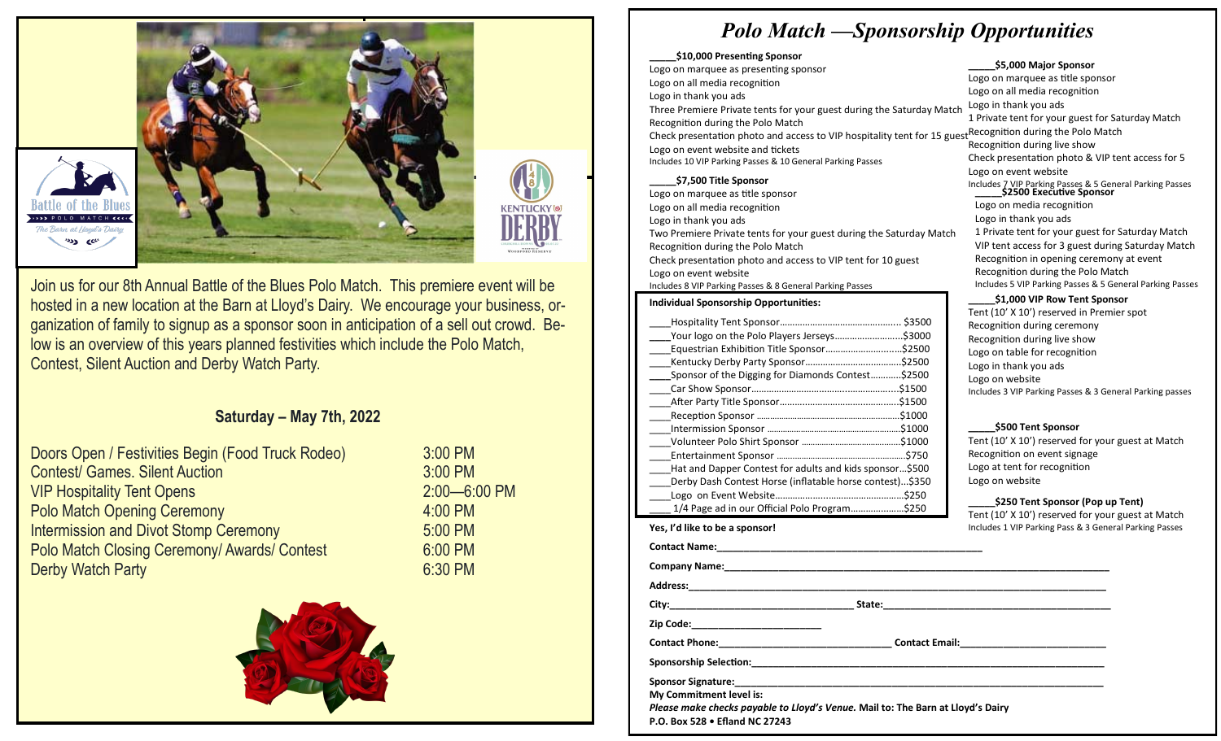

Join us for our 8th Annual Battle of the Blues Polo Match. This premiere event will be hosted in a new location at the Barn at Lloyd's Dairy. We encourage your business, organization of family to signup as a sponsor soon in anticipation of a sell out crowd. Below is an overview of this years planned festivities which include the Polo Match, Contest, Silent Auction and Derby Watch Party.

# **Saturday – May 7th, 2022**

| Doors Open / Festivities Begin (Food Truck Rodeo)   | 3:00 PM          |
|-----------------------------------------------------|------------------|
| <b>Contest/ Games. Silent Auction</b>               | 3:00 PM          |
| <b>VIP Hospitality Tent Opens</b>                   | $2:00 - 6:00$ PM |
| <b>Polo Match Opening Ceremony</b>                  | 4:00 PM          |
| <b>Intermission and Divot Stomp Ceremony</b>        | 5:00 PM          |
| <b>Polo Match Closing Ceremony/ Awards/ Contest</b> | 6:00 PM          |
| <b>Derby Watch Party</b>                            | 6:30 PM          |
|                                                     |                  |



# *Polo Match —Sponsorship Opportunities*

#### **\_\_\_\_\_\$10,000 Presenting Sponsor**

Check presentation photo and access to VIP hospitality tent for 15 guest<sup>Recognition</sup> during the Polo Match Logo on marquee as presenting sponsor Logo on all media recognition Logo in thank you ads Three Premiere Private tents for your guest during the Saturday Match Recognition during the Polo Match Logo on event website and tickets Includes 10 VIP Parking Passes & 10 General Parking Passes

# **\_\_\_\_\_\$7,500 Title Sponsor**

Logo on marquee as title sponsor Logo on all media recognition Logo in thank you ads Two Premiere Private tents for your guest during the Saturday Match Recognition during the Polo Match Check presentation photo and access to VIP tent for 10 guest Logo on event website Includes 8 VIP Parking Passes & 8 General Parking Passes

# **Individual Sponsorship Opportunities:**

| .\$3000<br>Your logo on the Polo Players Jerseys         |  |  |
|----------------------------------------------------------|--|--|
| \$2500                                                   |  |  |
| .\$2500                                                  |  |  |
| Sponsor of the Digging for Diamonds Contest<br>\$2500.   |  |  |
| \$1500.                                                  |  |  |
| \$1500.                                                  |  |  |
| \$1000.                                                  |  |  |
| .S1000                                                   |  |  |
| \$1000.                                                  |  |  |
| \$750.                                                   |  |  |
| Hat and Dapper Contest for adults and kids sponsor\$500  |  |  |
| Derby Dash Contest Horse (inflatable horse contest)\$350 |  |  |
| .\$250                                                   |  |  |
| 1/4 Page ad in our Official Polo Program\$250            |  |  |

# **Yes, I'd like to be a sponsor!**

**Sponsorship Selection:\_\_\_\_\_\_\_\_\_\_\_\_\_\_\_\_\_\_\_\_\_\_\_\_\_\_\_\_\_\_\_\_\_\_\_\_\_\_\_\_\_\_\_\_\_\_\_\_\_\_\_\_\_\_\_\_\_\_\_\_\_\_\_\_\_**

**Sponsor Signature:\_\_\_\_\_\_\_\_\_\_\_\_\_\_\_\_\_\_\_\_\_\_\_\_\_\_\_\_\_\_\_\_\_\_\_\_\_\_\_\_\_\_\_\_\_\_\_\_\_\_\_\_\_\_\_\_\_\_\_\_\_\_\_\_\_\_\_\_**

**My Commitment level is:**

*Please make checks payable to Lloyd's Venue.* **Mail to: The Barn at Lloyd's Dairy**

**P.O. Box 528 • Efland NC 27243**

## **\_\_\_\_\_\$5,000 Major Sponsor**

Logo on marquee as title sponsor Logo on all media recognition Logo in thank you ads 1 Private tent for your guest for Saturday Match Recognition during live show Check presentation photo & VIP tent access for 5 Logo on event website Includes 7 VIP Parking Passes & 5 General Parking Passes **\_\_\_\_\_\$2500 Executive Sponsor** Logo on media recognition Logo in thank you ads 1 Private tent for your guest for Saturday Match VIP tent access for 3 guest during Saturday Match Recognition in opening ceremony at event Recognition during the Polo Match Includes 5 VIP Parking Passes & 5 General Parking Passes

## **\_\_\_\_\_\$1,000 VIP Row Tent Sponsor**

Tent (10' X 10') reserved in Premier spot Recognition during ceremony Recognition during live show Logo on table for recognition Logo in thank you ads Logo on website Includes 3 VIP Parking Passes & 3 General Parking passes

## **\_\_\_\_\_\$500 Tent Sponsor**

Tent (10' X 10') reserved for your guest at Match Recognition on event signage Logo at tent for recognition Logo on website

## **\_\_\_\_\_\$250 Tent Sponsor (Pop up Tent)**

Tent (10' X 10') reserved for your guest at Match ng Passes

| Yes, I'd like to be a sponsor!       |                                                                                        | Includes 1 VIP Parking Pass & 3 General Parkin |
|--------------------------------------|----------------------------------------------------------------------------------------|------------------------------------------------|
|                                      |                                                                                        |                                                |
|                                      |                                                                                        |                                                |
|                                      |                                                                                        |                                                |
|                                      |                                                                                        |                                                |
| Zip Code:___________________________ |                                                                                        |                                                |
| <b>Contact Phone:</b>                | Contact Email:<br><u>Letter and the substitute of the substitute of the substitute</u> |                                                |